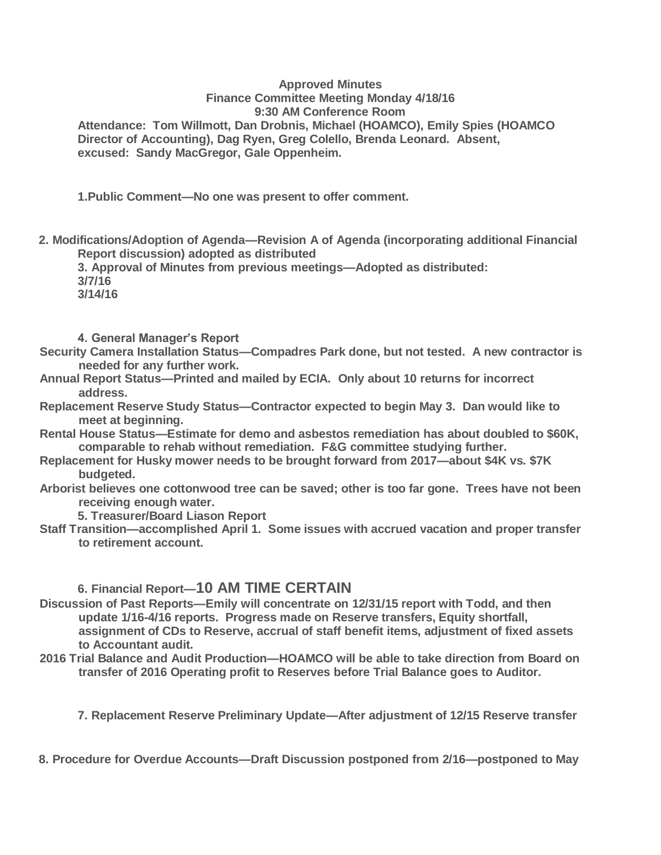#### **Approved Minutes Finance Committee Meeting Monday 4/18/16 9:30 AM Conference Room**

**Attendance: Tom Willmott, Dan Drobnis, Michael (HOAMCO), Emily Spies (HOAMCO Director of Accounting), Dag Ryen, Greg Colello, Brenda Leonard. Absent, excused: Sandy MacGregor, Gale Oppenheim.**

**1.Public Comment—No one was present to offer comment.**

**2. Modifications/Adoption of Agenda—Revision A of Agenda (incorporating additional Financial Report discussion) adopted as distributed**

**3. Approval of Minutes from previous meetings—Adopted as distributed: 3/7/16 3/14/16**

**4. General Manager's Report**

- **Security Camera Installation Status—Compadres Park done, but not tested. A new contractor is needed for any further work.**
- **Annual Report Status—Printed and mailed by ECIA. Only about 10 returns for incorrect address.**
- **Replacement Reserve Study Status—Contractor expected to begin May 3. Dan would like to meet at beginning.**
- **Rental House Status—Estimate for demo and asbestos remediation has about doubled to \$60K, comparable to rehab without remediation. F&G committee studying further.**
- **Replacement for Husky mower needs to be brought forward from 2017—about \$4K vs. \$7K budgeted.**
- **Arborist believes one cottonwood tree can be saved; other is too far gone. Trees have not been receiving enough water.**

**5. Treasurer/Board Liason Report**

**Staff Transition—accomplished April 1. Some issues with accrued vacation and proper transfer to retirement account.**

# **6. Financial Report—10 AM TIME CERTAIN**

- **Discussion of Past Reports—Emily will concentrate on 12/31/15 report with Todd, and then update 1/16-4/16 reports. Progress made on Reserve transfers, Equity shortfall, assignment of CDs to Reserve, accrual of staff benefit items, adjustment of fixed assets to Accountant audit.**
- **2016 Trial Balance and Audit Production—HOAMCO will be able to take direction from Board on transfer of 2016 Operating profit to Reserves before Trial Balance goes to Auditor.**

**7. Replacement Reserve Preliminary Update—After adjustment of 12/15 Reserve transfer**

**8. Procedure for Overdue Accounts—Draft Discussion postponed from 2/16—postponed to May**